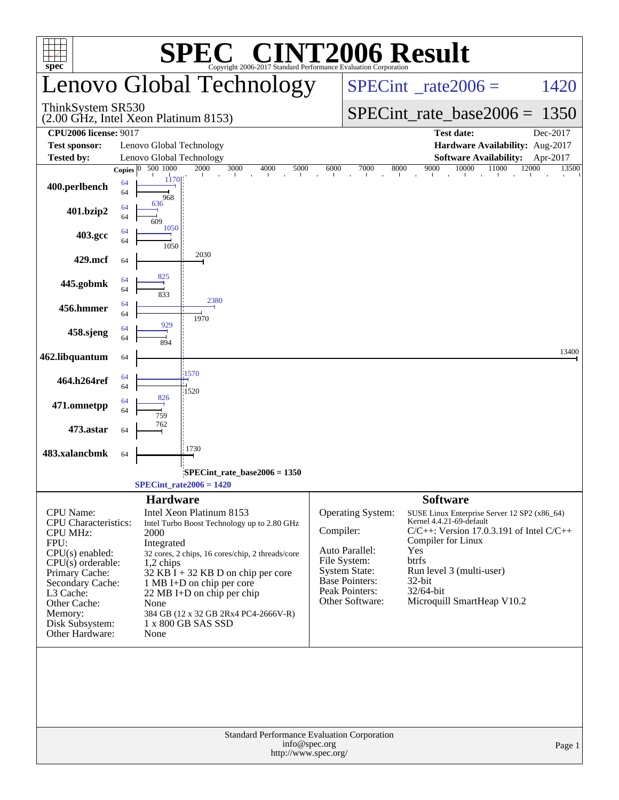|                                                             |                    |                                      |                                      | <b>C® CINT2006 Result</b>                                       |                                          |                                      |                    |                                                                                                                           |                   |        |
|-------------------------------------------------------------|--------------------|--------------------------------------|--------------------------------------|-----------------------------------------------------------------|------------------------------------------|--------------------------------------|--------------------|---------------------------------------------------------------------------------------------------------------------------|-------------------|--------|
| spec <sup>®</sup>                                           |                    |                                      |                                      | Copyright 2006-2017 Standard Performance Evaluation Corporation |                                          |                                      |                    |                                                                                                                           |                   |        |
|                                                             |                    |                                      |                                      | Lenovo Global Technology                                        | $SPECint^{\circ}$ <sub>_rate2006</sub> = |                                      |                    |                                                                                                                           | 1420              |        |
| ThinkSystem SR530<br>(2.00 GHz, Intel Xeon Platinum 8153)   |                    |                                      |                                      |                                                                 |                                          | $SPECint_rate_base2006 = 1350$       |                    |                                                                                                                           |                   |        |
| <b>CPU2006 license: 9017</b>                                |                    |                                      |                                      |                                                                 |                                          |                                      |                    | <b>Test date:</b>                                                                                                         | Dec-2017          |        |
| <b>Test sponsor:</b>                                        |                    | Lenovo Global Technology             |                                      |                                                                 |                                          |                                      |                    | Hardware Availability: Aug-2017                                                                                           |                   |        |
| <b>Tested by:</b>                                           | Copies $ 0\rangle$ | Lenovo Global Technology<br>500 1000 | 2000                                 | 3000<br>4000                                                    | 5000<br>6000                             | 7000<br>8000                         | 9000               | <b>Software Availability:</b><br>10000<br>11000                                                                           | Apr-2017<br>12000 | 13500  |
| 400.perlbench                                               | 64<br>64           | 1170<br>968                          |                                      |                                                                 |                                          |                                      | and the control    |                                                                                                                           |                   |        |
| 401.bzip2                                                   | 64<br>64           | 636<br>609                           |                                      |                                                                 |                                          |                                      |                    |                                                                                                                           |                   |        |
| 403.gcc                                                     | 64<br>64           | 1050<br>1050                         |                                      |                                                                 |                                          |                                      |                    |                                                                                                                           |                   |        |
| 429.mcf                                                     | 64                 |                                      | 2030                                 |                                                                 |                                          |                                      |                    |                                                                                                                           |                   |        |
| 445.gobmk                                                   | 64<br>64           | 825<br>833                           |                                      |                                                                 |                                          |                                      |                    |                                                                                                                           |                   |        |
| 456.hmmer                                                   | 64<br>64           | 929                                  | 2380<br>1970                         |                                                                 |                                          |                                      |                    |                                                                                                                           |                   |        |
| 458.sjeng                                                   | 64<br>64           | 894                                  |                                      |                                                                 |                                          |                                      |                    |                                                                                                                           |                   |        |
| 462.libquantum                                              | 64                 |                                      | 1570                                 |                                                                 |                                          |                                      |                    |                                                                                                                           |                   | 13400  |
| 464.h264ref                                                 | 64<br>64           | 826                                  | 1520                                 |                                                                 |                                          |                                      |                    |                                                                                                                           |                   |        |
| 471.omnetpp                                                 | 64<br>64           | 759                                  |                                      |                                                                 |                                          |                                      |                    |                                                                                                                           |                   |        |
| 473.astar                                                   | 64                 | 762                                  | 1730                                 |                                                                 |                                          |                                      |                    |                                                                                                                           |                   |        |
| 483.xalancbmk                                               | 64                 |                                      |                                      |                                                                 |                                          |                                      |                    |                                                                                                                           |                   |        |
|                                                             |                    | $SPECint_rate2006 = 1420$            |                                      | $SPECint_rate_base2006 = 1350$                                  |                                          |                                      |                    |                                                                                                                           |                   |        |
|                                                             |                    | <b>Hardware</b>                      |                                      |                                                                 |                                          |                                      | <b>Software</b>    |                                                                                                                           |                   |        |
| CPU Name:<br><b>CPU</b> Characteristics:<br><b>CPU MHz:</b> |                    | 2000                                 | Intel Xeon Platinum 8153             | Intel Turbo Boost Technology up to 2.80 GHz                     | Compiler:                                | <b>Operating System:</b>             | Compiler for Linux | SUSE Linux Enterprise Server 12 SP2 (x86_64)<br>Kernel 4.4.21-69-default<br>$C/C++$ : Version 17.0.3.191 of Intel $C/C++$ |                   |        |
| FPU:<br>$CPU(s)$ enabled:                                   |                    | Integrated                           |                                      | 32 cores, 2 chips, 16 cores/chip, 2 threads/core                |                                          | Auto Parallel:                       | Yes                |                                                                                                                           |                   |        |
| $CPU(s)$ orderable:<br>Primary Cache:                       |                    | $1,2$ chips                          |                                      | $32$ KB $\bar{1}$ + 32 KB D on chip per core                    |                                          | File System:<br><b>System State:</b> | btrfs              | Run level 3 (multi-user)                                                                                                  |                   |        |
| Secondary Cache:                                            |                    |                                      | 1 MB I+D on chip per core            |                                                                 |                                          | <b>Base Pointers:</b>                | 32-bit             |                                                                                                                           |                   |        |
| L3 Cache:<br>Other Cache:                                   |                    | None                                 | $22 \text{ MB I+D}$ on chip per chip |                                                                 |                                          | Peak Pointers:<br>Other Software:    | 32/64-bit          | Microquill SmartHeap V10.2                                                                                                |                   |        |
| Memory:                                                     |                    |                                      |                                      | 384 GB (12 x 32 GB 2Rx4 PC4-2666V-R)                            |                                          |                                      |                    |                                                                                                                           |                   |        |
| Disk Subsystem:<br>Other Hardware:                          |                    | None                                 | 1 x 800 GB SAS SSD                   |                                                                 |                                          |                                      |                    |                                                                                                                           |                   |        |
|                                                             |                    |                                      |                                      |                                                                 |                                          |                                      |                    |                                                                                                                           |                   |        |
|                                                             |                    |                                      |                                      | Standard Performance Evaluation Corporation                     | info@spec.org<br>http://www.spec.org/    |                                      |                    |                                                                                                                           |                   | Page 1 |
|                                                             |                    |                                      |                                      |                                                                 |                                          |                                      |                    |                                                                                                                           |                   |        |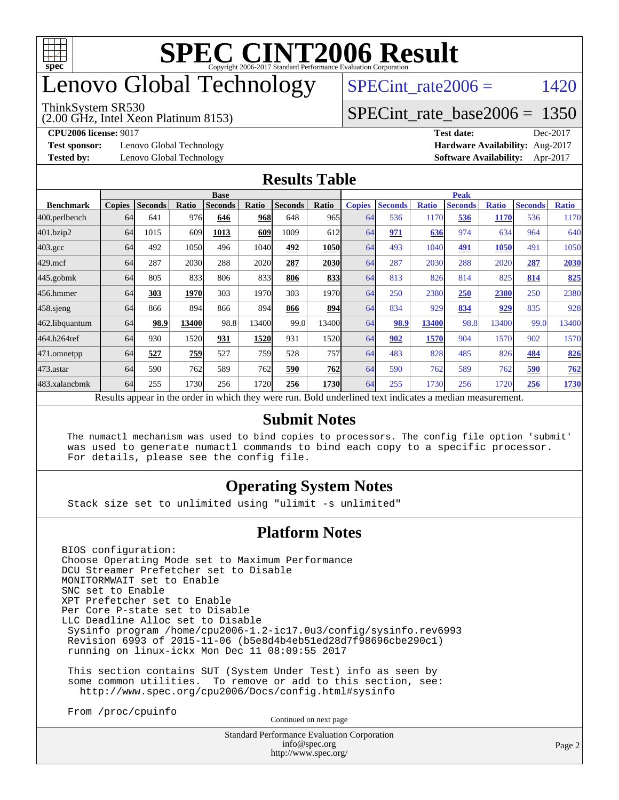

# enovo Global Technology

#### ThinkSystem SR530

(2.00 GHz, Intel Xeon Platinum 8153)

SPECint rate $2006 =$  1420

#### [SPECint\\_rate\\_base2006 =](http://www.spec.org/auto/cpu2006/Docs/result-fields.html#SPECintratebase2006) 1350

**[Test sponsor:](http://www.spec.org/auto/cpu2006/Docs/result-fields.html#Testsponsor)** Lenovo Global Technology **[Hardware Availability:](http://www.spec.org/auto/cpu2006/Docs/result-fields.html#HardwareAvailability)** Aug-2017

**[CPU2006 license:](http://www.spec.org/auto/cpu2006/Docs/result-fields.html#CPU2006license)** 9017 **[Test date:](http://www.spec.org/auto/cpu2006/Docs/result-fields.html#Testdate)** Dec-2017 **[Tested by:](http://www.spec.org/auto/cpu2006/Docs/result-fields.html#Testedby)** Lenovo Global Technology **[Software Availability:](http://www.spec.org/auto/cpu2006/Docs/result-fields.html#SoftwareAvailability)** Apr-2017

#### **[Results Table](http://www.spec.org/auto/cpu2006/Docs/result-fields.html#ResultsTable)**

|                                                                                                          | <b>Base</b>   |                |       |                |       |                |             | <b>Peak</b>   |                |              |                |              |                |              |
|----------------------------------------------------------------------------------------------------------|---------------|----------------|-------|----------------|-------|----------------|-------------|---------------|----------------|--------------|----------------|--------------|----------------|--------------|
| <b>Benchmark</b>                                                                                         | <b>Copies</b> | <b>Seconds</b> | Ratio | <b>Seconds</b> | Ratio | <b>Seconds</b> | Ratio       | <b>Copies</b> | <b>Seconds</b> | <b>Ratio</b> | <b>Seconds</b> | <b>Ratio</b> | <b>Seconds</b> | <b>Ratio</b> |
| 400.perlbench                                                                                            | 64            | 641            | 976   | 646            | 968   | 648            | 965         | 64            | 536            | 1170         | 536            | 1170         | 536            | 1170         |
| 401.bzip2                                                                                                | 64            | 1015           | 609   | 1013           | 609   | 1009           | 612         | 64            | 971            | 636          | 974            | 634          | 964            | 640          |
| $403.\mathrm{gcc}$                                                                                       | 64            | 492            | 1050  | 496            | 1040  | 492            | 1050        | 64            | 493            | 1040         | 491            | 1050         | 491            | 1050         |
| $429$ .mcf                                                                                               | 64            | 287            | 2030  | 288            | 2020  | 287            | 2030        | 64            | 287            | 2030         | 288            | 2020         | 287            | 2030         |
| $445$ .gobm $k$                                                                                          | 64            | 805            | 833   | 806            | 833   | 806            | 833         | 64            | 813            | 826          | 814            | 825          | 814            | 825          |
| 456.hmmer                                                                                                | 64            | 303            | 1970  | 303            | 1970  | 303            | 1970        | 64            | 250            | 2380         | 250            | 2380         | 250            | 2380         |
| $458$ .sjeng                                                                                             | 64            | 866            | 894   | 866            | 894   | 866            | 894         | 64            | 834            | 929          | 834            | 929          | 835            | 928          |
| 462.libquantum                                                                                           | 64            | 98.9           | 13400 | 98.8           | 13400 | 99.0           | 13400       | 64            | 98.9           | 13400        | 98.8           | 13400        | 99.0           | 13400        |
| 464.h264ref                                                                                              | 64            | 930            | 1520  | 931            | 1520  | 931            | 1520        | 64            | 902            | 1570         | 904            | 1570         | 902            | 1570         |
| 471.omnetpp                                                                                              | 64            | 527            | 759   | 527            | 759   | 528            | 757l        | 64            | 483            | 828          | 485            | 826          | 484            | 826          |
| $473$ . astar                                                                                            | 64            | 590            | 762   | 589            | 762   | 590            | <b>762</b>  | 64            | 590            | 762          | 589            | 762          | 590            | 762          |
| 483.xalancbmk                                                                                            | 64            | 255            | 1730  | 256            | 1720  | 256            | <b>1730</b> | 64            | 255            | 1730         | 256            | 1720         | 256            | 1730         |
| Results appear in the order in which they were run. Bold underlined text indicates a median measurement. |               |                |       |                |       |                |             |               |                |              |                |              |                |              |

#### **[Submit Notes](http://www.spec.org/auto/cpu2006/Docs/result-fields.html#SubmitNotes)**

 The numactl mechanism was used to bind copies to processors. The config file option 'submit' was used to generate numactl commands to bind each copy to a specific processor. For details, please see the config file.

#### **[Operating System Notes](http://www.spec.org/auto/cpu2006/Docs/result-fields.html#OperatingSystemNotes)**

Stack size set to unlimited using "ulimit -s unlimited"

#### **[Platform Notes](http://www.spec.org/auto/cpu2006/Docs/result-fields.html#PlatformNotes)**

BIOS configuration: Choose Operating Mode set to Maximum Performance DCU Streamer Prefetcher set to Disable MONITORMWAIT set to Enable SNC set to Enable XPT Prefetcher set to Enable Per Core P-state set to Disable LLC Deadline Alloc set to Disable Sysinfo program /home/cpu2006-1.2-ic17.0u3/config/sysinfo.rev6993 Revision 6993 of 2015-11-06 (b5e8d4b4eb51ed28d7f98696cbe290c1) running on linux-ickx Mon Dec 11 08:09:55 2017

 This section contains SUT (System Under Test) info as seen by some common utilities. To remove or add to this section, see: <http://www.spec.org/cpu2006/Docs/config.html#sysinfo>

From /proc/cpuinfo

Continued on next page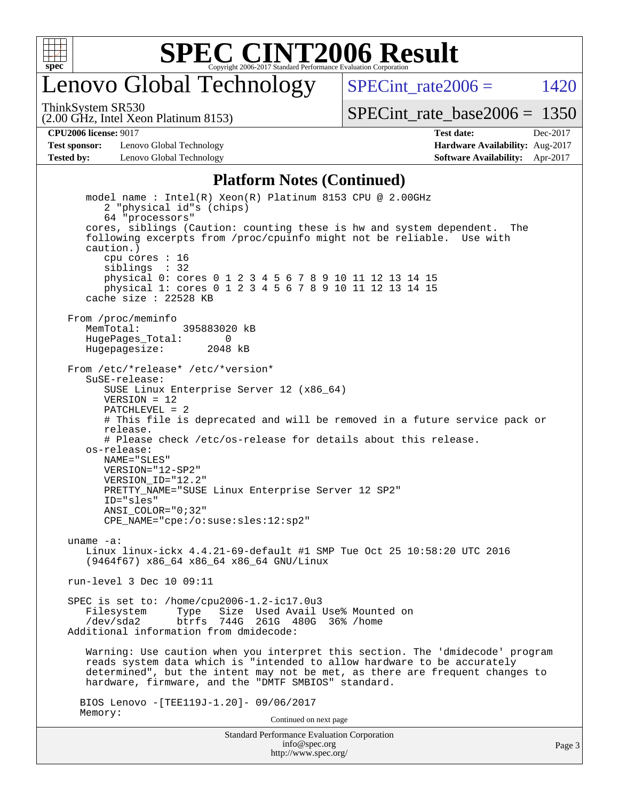

## enovo Global Technology

SPECint rate $2006 = 1420$ 

(2.00 GHz, Intel Xeon Platinum 8153) ThinkSystem SR530

[SPECint\\_rate\\_base2006 =](http://www.spec.org/auto/cpu2006/Docs/result-fields.html#SPECintratebase2006) 1350

**[Test sponsor:](http://www.spec.org/auto/cpu2006/Docs/result-fields.html#Testsponsor)** Lenovo Global Technology **[Hardware Availability:](http://www.spec.org/auto/cpu2006/Docs/result-fields.html#HardwareAvailability)** Aug-2017 **[Tested by:](http://www.spec.org/auto/cpu2006/Docs/result-fields.html#Testedby)** Lenovo Global Technology **[Software Availability:](http://www.spec.org/auto/cpu2006/Docs/result-fields.html#SoftwareAvailability)** Apr-2017

**[CPU2006 license:](http://www.spec.org/auto/cpu2006/Docs/result-fields.html#CPU2006license)** 9017 **[Test date:](http://www.spec.org/auto/cpu2006/Docs/result-fields.html#Testdate)** Dec-2017

#### **[Platform Notes \(Continued\)](http://www.spec.org/auto/cpu2006/Docs/result-fields.html#PlatformNotes)**

Standard Performance Evaluation Corporation [info@spec.org](mailto:info@spec.org) model name : Intel(R) Xeon(R) Platinum 8153 CPU @ 2.00GHz 2 "physical id"s (chips) 64 "processors" cores, siblings (Caution: counting these is hw and system dependent. The following excerpts from /proc/cpuinfo might not be reliable. Use with caution.) cpu cores : 16 siblings : 32 physical 0: cores 0 1 2 3 4 5 6 7 8 9 10 11 12 13 14 15 physical 1: cores 0 1 2 3 4 5 6 7 8 9 10 11 12 13 14 15 cache size : 22528 KB From /proc/meminfo MemTotal: 395883020 kB HugePages\_Total: 0<br>Hugepagesize: 2048 kB Hugepagesize: From /etc/\*release\* /etc/\*version\* SuSE-release: SUSE Linux Enterprise Server 12 (x86\_64) VERSION = 12 PATCHLEVEL = 2 # This file is deprecated and will be removed in a future service pack or release. # Please check /etc/os-release for details about this release. os-release: NAME="SLES" VERSION="12-SP2" VERSION\_ID="12.2" PRETTY\_NAME="SUSE Linux Enterprise Server 12 SP2" ID="sles" ANSI\_COLOR="0;32" CPE\_NAME="cpe:/o:suse:sles:12:sp2" uname -a: Linux linux-ickx 4.4.21-69-default #1 SMP Tue Oct 25 10:58:20 UTC 2016 (9464f67) x86\_64 x86\_64 x86\_64 GNU/Linux run-level 3 Dec 10 09:11 SPEC is set to: /home/cpu2006-1.2-ic17.0u3 Filesystem Type Size Used Avail Use% Mounted on<br>
/dev/sda2 btrfs 744G 261G 480G 36% /home btrfs 744G 261G 480G 36% / home Additional information from dmidecode: Warning: Use caution when you interpret this section. The 'dmidecode' program reads system data which is "intended to allow hardware to be accurately determined", but the intent may not be met, as there are frequent changes to hardware, firmware, and the "DMTF SMBIOS" standard. BIOS Lenovo -[TEE119J-1.20]- 09/06/2017 Memory: Continued on next page

<http://www.spec.org/>

Page 3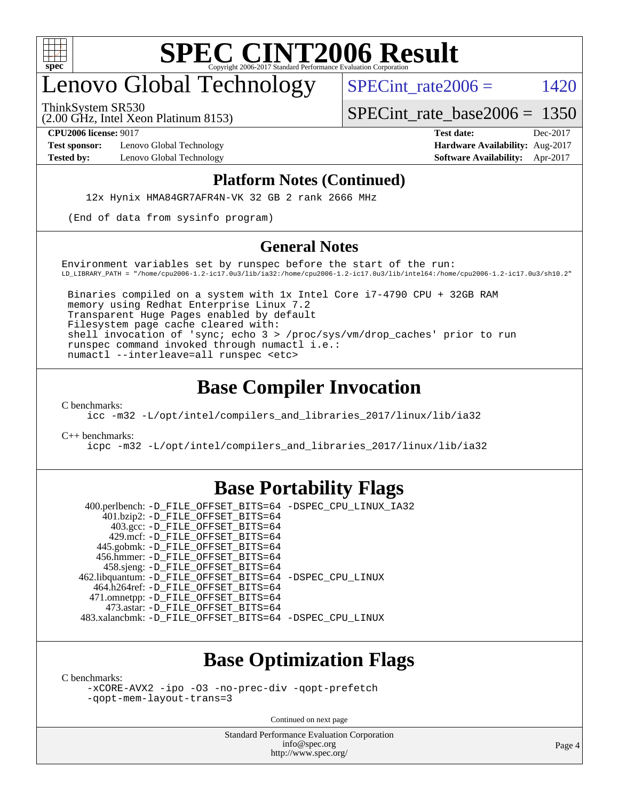

# enovo Global Technology

SPECint rate $2006 =$  1420

(2.00 GHz, Intel Xeon Platinum 8153) ThinkSystem SR530

[SPECint\\_rate\\_base2006 =](http://www.spec.org/auto/cpu2006/Docs/result-fields.html#SPECintratebase2006) 1350

**[Test sponsor:](http://www.spec.org/auto/cpu2006/Docs/result-fields.html#Testsponsor)** Lenovo Global Technology **[Hardware Availability:](http://www.spec.org/auto/cpu2006/Docs/result-fields.html#HardwareAvailability)** Aug-2017

**[CPU2006 license:](http://www.spec.org/auto/cpu2006/Docs/result-fields.html#CPU2006license)** 9017 **[Test date:](http://www.spec.org/auto/cpu2006/Docs/result-fields.html#Testdate)** Dec-2017 **[Tested by:](http://www.spec.org/auto/cpu2006/Docs/result-fields.html#Testedby)** Lenovo Global Technology **[Software Availability:](http://www.spec.org/auto/cpu2006/Docs/result-fields.html#SoftwareAvailability)** Apr-2017

#### **[Platform Notes \(Continued\)](http://www.spec.org/auto/cpu2006/Docs/result-fields.html#PlatformNotes)**

12x Hynix HMA84GR7AFR4N-VK 32 GB 2 rank 2666 MHz

(End of data from sysinfo program)

#### **[General Notes](http://www.spec.org/auto/cpu2006/Docs/result-fields.html#GeneralNotes)**

Environment variables set by runspec before the start of the run: LD\_LIBRARY\_PATH = "/home/cpu2006-1.2-ic17.0u3/lib/ia32:/home/cpu2006-1.2-ic17.0u3/lib/intel64:/home/cpu2006-1.2-ic17.0u3/sh10.2"

 Binaries compiled on a system with 1x Intel Core i7-4790 CPU + 32GB RAM memory using Redhat Enterprise Linux 7.2 Transparent Huge Pages enabled by default Filesystem page cache cleared with: shell invocation of 'sync; echo 3 > /proc/sys/vm/drop\_caches' prior to run runspec command invoked through numactl i.e.: numactl --interleave=all runspec <etc>

#### **[Base Compiler Invocation](http://www.spec.org/auto/cpu2006/Docs/result-fields.html#BaseCompilerInvocation)**

[C benchmarks](http://www.spec.org/auto/cpu2006/Docs/result-fields.html#Cbenchmarks):

[icc -m32 -L/opt/intel/compilers\\_and\\_libraries\\_2017/linux/lib/ia32](http://www.spec.org/cpu2006/results/res2017q4/cpu2006-20171211-51018.flags.html#user_CCbase_intel_icc_c29f3ff5a7ed067b11e4ec10a03f03ae)

[C++ benchmarks:](http://www.spec.org/auto/cpu2006/Docs/result-fields.html#CXXbenchmarks)

[icpc -m32 -L/opt/intel/compilers\\_and\\_libraries\\_2017/linux/lib/ia32](http://www.spec.org/cpu2006/results/res2017q4/cpu2006-20171211-51018.flags.html#user_CXXbase_intel_icpc_8c35c7808b62dab9ae41a1aa06361b6b)

#### **[Base Portability Flags](http://www.spec.org/auto/cpu2006/Docs/result-fields.html#BasePortabilityFlags)**

 400.perlbench: [-D\\_FILE\\_OFFSET\\_BITS=64](http://www.spec.org/cpu2006/results/res2017q4/cpu2006-20171211-51018.flags.html#user_basePORTABILITY400_perlbench_file_offset_bits_64_438cf9856305ebd76870a2c6dc2689ab) [-DSPEC\\_CPU\\_LINUX\\_IA32](http://www.spec.org/cpu2006/results/res2017q4/cpu2006-20171211-51018.flags.html#b400.perlbench_baseCPORTABILITY_DSPEC_CPU_LINUX_IA32) 401.bzip2: [-D\\_FILE\\_OFFSET\\_BITS=64](http://www.spec.org/cpu2006/results/res2017q4/cpu2006-20171211-51018.flags.html#user_basePORTABILITY401_bzip2_file_offset_bits_64_438cf9856305ebd76870a2c6dc2689ab) 403.gcc: [-D\\_FILE\\_OFFSET\\_BITS=64](http://www.spec.org/cpu2006/results/res2017q4/cpu2006-20171211-51018.flags.html#user_basePORTABILITY403_gcc_file_offset_bits_64_438cf9856305ebd76870a2c6dc2689ab) 429.mcf: [-D\\_FILE\\_OFFSET\\_BITS=64](http://www.spec.org/cpu2006/results/res2017q4/cpu2006-20171211-51018.flags.html#user_basePORTABILITY429_mcf_file_offset_bits_64_438cf9856305ebd76870a2c6dc2689ab) 445.gobmk: [-D\\_FILE\\_OFFSET\\_BITS=64](http://www.spec.org/cpu2006/results/res2017q4/cpu2006-20171211-51018.flags.html#user_basePORTABILITY445_gobmk_file_offset_bits_64_438cf9856305ebd76870a2c6dc2689ab) 456.hmmer: [-D\\_FILE\\_OFFSET\\_BITS=64](http://www.spec.org/cpu2006/results/res2017q4/cpu2006-20171211-51018.flags.html#user_basePORTABILITY456_hmmer_file_offset_bits_64_438cf9856305ebd76870a2c6dc2689ab) 458.sjeng: [-D\\_FILE\\_OFFSET\\_BITS=64](http://www.spec.org/cpu2006/results/res2017q4/cpu2006-20171211-51018.flags.html#user_basePORTABILITY458_sjeng_file_offset_bits_64_438cf9856305ebd76870a2c6dc2689ab) 462.libquantum: [-D\\_FILE\\_OFFSET\\_BITS=64](http://www.spec.org/cpu2006/results/res2017q4/cpu2006-20171211-51018.flags.html#user_basePORTABILITY462_libquantum_file_offset_bits_64_438cf9856305ebd76870a2c6dc2689ab) [-DSPEC\\_CPU\\_LINUX](http://www.spec.org/cpu2006/results/res2017q4/cpu2006-20171211-51018.flags.html#b462.libquantum_baseCPORTABILITY_DSPEC_CPU_LINUX) 464.h264ref: [-D\\_FILE\\_OFFSET\\_BITS=64](http://www.spec.org/cpu2006/results/res2017q4/cpu2006-20171211-51018.flags.html#user_basePORTABILITY464_h264ref_file_offset_bits_64_438cf9856305ebd76870a2c6dc2689ab) 471.omnetpp: [-D\\_FILE\\_OFFSET\\_BITS=64](http://www.spec.org/cpu2006/results/res2017q4/cpu2006-20171211-51018.flags.html#user_basePORTABILITY471_omnetpp_file_offset_bits_64_438cf9856305ebd76870a2c6dc2689ab) 473.astar: [-D\\_FILE\\_OFFSET\\_BITS=64](http://www.spec.org/cpu2006/results/res2017q4/cpu2006-20171211-51018.flags.html#user_basePORTABILITY473_astar_file_offset_bits_64_438cf9856305ebd76870a2c6dc2689ab) 483.xalancbmk: [-D\\_FILE\\_OFFSET\\_BITS=64](http://www.spec.org/cpu2006/results/res2017q4/cpu2006-20171211-51018.flags.html#user_basePORTABILITY483_xalancbmk_file_offset_bits_64_438cf9856305ebd76870a2c6dc2689ab) [-DSPEC\\_CPU\\_LINUX](http://www.spec.org/cpu2006/results/res2017q4/cpu2006-20171211-51018.flags.html#b483.xalancbmk_baseCXXPORTABILITY_DSPEC_CPU_LINUX)

### **[Base Optimization Flags](http://www.spec.org/auto/cpu2006/Docs/result-fields.html#BaseOptimizationFlags)**

[C benchmarks](http://www.spec.org/auto/cpu2006/Docs/result-fields.html#Cbenchmarks):

[-xCORE-AVX2](http://www.spec.org/cpu2006/results/res2017q4/cpu2006-20171211-51018.flags.html#user_CCbase_f-xCORE-AVX2) [-ipo](http://www.spec.org/cpu2006/results/res2017q4/cpu2006-20171211-51018.flags.html#user_CCbase_f-ipo) [-O3](http://www.spec.org/cpu2006/results/res2017q4/cpu2006-20171211-51018.flags.html#user_CCbase_f-O3) [-no-prec-div](http://www.spec.org/cpu2006/results/res2017q4/cpu2006-20171211-51018.flags.html#user_CCbase_f-no-prec-div) [-qopt-prefetch](http://www.spec.org/cpu2006/results/res2017q4/cpu2006-20171211-51018.flags.html#user_CCbase_f-qopt-prefetch) [-qopt-mem-layout-trans=3](http://www.spec.org/cpu2006/results/res2017q4/cpu2006-20171211-51018.flags.html#user_CCbase_f-qopt-mem-layout-trans_170f5be61cd2cedc9b54468c59262d5d)

Continued on next page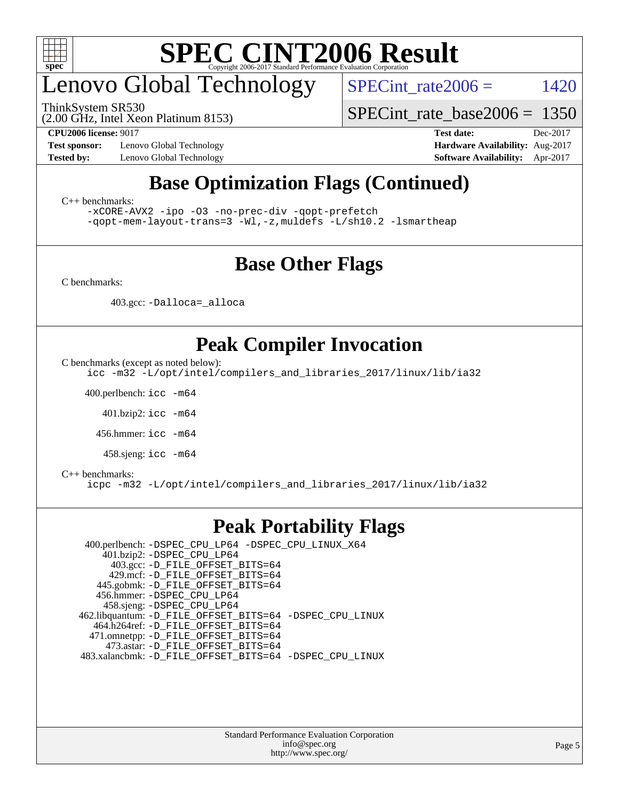

# enovo Global Technology

ThinkSystem SR530

SPECint rate $2006 =$  1420

(2.00 GHz, Intel Xeon Platinum 8153)

[SPECint\\_rate\\_base2006 =](http://www.spec.org/auto/cpu2006/Docs/result-fields.html#SPECintratebase2006) 1350

**[Test sponsor:](http://www.spec.org/auto/cpu2006/Docs/result-fields.html#Testsponsor)** Lenovo Global Technology **[Hardware Availability:](http://www.spec.org/auto/cpu2006/Docs/result-fields.html#HardwareAvailability)** Aug-2017

**[CPU2006 license:](http://www.spec.org/auto/cpu2006/Docs/result-fields.html#CPU2006license)** 9017 **[Test date:](http://www.spec.org/auto/cpu2006/Docs/result-fields.html#Testdate)** Dec-2017 **[Tested by:](http://www.spec.org/auto/cpu2006/Docs/result-fields.html#Testedby)** Lenovo Global Technology **[Software Availability:](http://www.spec.org/auto/cpu2006/Docs/result-fields.html#SoftwareAvailability)** Apr-2017

## **[Base Optimization Flags \(Continued\)](http://www.spec.org/auto/cpu2006/Docs/result-fields.html#BaseOptimizationFlags)**

[C++ benchmarks:](http://www.spec.org/auto/cpu2006/Docs/result-fields.html#CXXbenchmarks)

[-xCORE-AVX2](http://www.spec.org/cpu2006/results/res2017q4/cpu2006-20171211-51018.flags.html#user_CXXbase_f-xCORE-AVX2) [-ipo](http://www.spec.org/cpu2006/results/res2017q4/cpu2006-20171211-51018.flags.html#user_CXXbase_f-ipo) [-O3](http://www.spec.org/cpu2006/results/res2017q4/cpu2006-20171211-51018.flags.html#user_CXXbase_f-O3) [-no-prec-div](http://www.spec.org/cpu2006/results/res2017q4/cpu2006-20171211-51018.flags.html#user_CXXbase_f-no-prec-div) [-qopt-prefetch](http://www.spec.org/cpu2006/results/res2017q4/cpu2006-20171211-51018.flags.html#user_CXXbase_f-qopt-prefetch) [-qopt-mem-layout-trans=3](http://www.spec.org/cpu2006/results/res2017q4/cpu2006-20171211-51018.flags.html#user_CXXbase_f-qopt-mem-layout-trans_170f5be61cd2cedc9b54468c59262d5d) [-Wl,-z,muldefs](http://www.spec.org/cpu2006/results/res2017q4/cpu2006-20171211-51018.flags.html#user_CXXbase_link_force_multiple1_74079c344b956b9658436fd1b6dd3a8a) [-L/sh10.2 -lsmartheap](http://www.spec.org/cpu2006/results/res2017q4/cpu2006-20171211-51018.flags.html#user_CXXbase_SmartHeap_b831f2d313e2fffa6dfe3f00ffc1f1c0)

### **[Base Other Flags](http://www.spec.org/auto/cpu2006/Docs/result-fields.html#BaseOtherFlags)**

[C benchmarks](http://www.spec.org/auto/cpu2006/Docs/result-fields.html#Cbenchmarks):

403.gcc: [-Dalloca=\\_alloca](http://www.spec.org/cpu2006/results/res2017q4/cpu2006-20171211-51018.flags.html#b403.gcc_baseEXTRA_CFLAGS_Dalloca_be3056838c12de2578596ca5467af7f3)

### **[Peak Compiler Invocation](http://www.spec.org/auto/cpu2006/Docs/result-fields.html#PeakCompilerInvocation)**

[C benchmarks \(except as noted below\)](http://www.spec.org/auto/cpu2006/Docs/result-fields.html#Cbenchmarksexceptasnotedbelow):

[icc -m32 -L/opt/intel/compilers\\_and\\_libraries\\_2017/linux/lib/ia32](http://www.spec.org/cpu2006/results/res2017q4/cpu2006-20171211-51018.flags.html#user_CCpeak_intel_icc_c29f3ff5a7ed067b11e4ec10a03f03ae)

400.perlbench: [icc -m64](http://www.spec.org/cpu2006/results/res2017q4/cpu2006-20171211-51018.flags.html#user_peakCCLD400_perlbench_intel_icc_64bit_bda6cc9af1fdbb0edc3795bac97ada53)

401.bzip2: [icc -m64](http://www.spec.org/cpu2006/results/res2017q4/cpu2006-20171211-51018.flags.html#user_peakCCLD401_bzip2_intel_icc_64bit_bda6cc9af1fdbb0edc3795bac97ada53)

456.hmmer: [icc -m64](http://www.spec.org/cpu2006/results/res2017q4/cpu2006-20171211-51018.flags.html#user_peakCCLD456_hmmer_intel_icc_64bit_bda6cc9af1fdbb0edc3795bac97ada53)

458.sjeng: [icc -m64](http://www.spec.org/cpu2006/results/res2017q4/cpu2006-20171211-51018.flags.html#user_peakCCLD458_sjeng_intel_icc_64bit_bda6cc9af1fdbb0edc3795bac97ada53)

#### [C++ benchmarks:](http://www.spec.org/auto/cpu2006/Docs/result-fields.html#CXXbenchmarks)

[icpc -m32 -L/opt/intel/compilers\\_and\\_libraries\\_2017/linux/lib/ia32](http://www.spec.org/cpu2006/results/res2017q4/cpu2006-20171211-51018.flags.html#user_CXXpeak_intel_icpc_8c35c7808b62dab9ae41a1aa06361b6b)

### **[Peak Portability Flags](http://www.spec.org/auto/cpu2006/Docs/result-fields.html#PeakPortabilityFlags)**

 400.perlbench: [-DSPEC\\_CPU\\_LP64](http://www.spec.org/cpu2006/results/res2017q4/cpu2006-20171211-51018.flags.html#b400.perlbench_peakCPORTABILITY_DSPEC_CPU_LP64) [-DSPEC\\_CPU\\_LINUX\\_X64](http://www.spec.org/cpu2006/results/res2017q4/cpu2006-20171211-51018.flags.html#b400.perlbench_peakCPORTABILITY_DSPEC_CPU_LINUX_X64) 401.bzip2: [-DSPEC\\_CPU\\_LP64](http://www.spec.org/cpu2006/results/res2017q4/cpu2006-20171211-51018.flags.html#suite_peakCPORTABILITY401_bzip2_DSPEC_CPU_LP64) 403.gcc: [-D\\_FILE\\_OFFSET\\_BITS=64](http://www.spec.org/cpu2006/results/res2017q4/cpu2006-20171211-51018.flags.html#user_peakPORTABILITY403_gcc_file_offset_bits_64_438cf9856305ebd76870a2c6dc2689ab) 429.mcf: [-D\\_FILE\\_OFFSET\\_BITS=64](http://www.spec.org/cpu2006/results/res2017q4/cpu2006-20171211-51018.flags.html#user_peakPORTABILITY429_mcf_file_offset_bits_64_438cf9856305ebd76870a2c6dc2689ab) 445.gobmk: [-D\\_FILE\\_OFFSET\\_BITS=64](http://www.spec.org/cpu2006/results/res2017q4/cpu2006-20171211-51018.flags.html#user_peakPORTABILITY445_gobmk_file_offset_bits_64_438cf9856305ebd76870a2c6dc2689ab) 456.hmmer: [-DSPEC\\_CPU\\_LP64](http://www.spec.org/cpu2006/results/res2017q4/cpu2006-20171211-51018.flags.html#suite_peakCPORTABILITY456_hmmer_DSPEC_CPU_LP64) 458.sjeng: [-DSPEC\\_CPU\\_LP64](http://www.spec.org/cpu2006/results/res2017q4/cpu2006-20171211-51018.flags.html#suite_peakCPORTABILITY458_sjeng_DSPEC_CPU_LP64) 462.libquantum: [-D\\_FILE\\_OFFSET\\_BITS=64](http://www.spec.org/cpu2006/results/res2017q4/cpu2006-20171211-51018.flags.html#user_peakPORTABILITY462_libquantum_file_offset_bits_64_438cf9856305ebd76870a2c6dc2689ab) [-DSPEC\\_CPU\\_LINUX](http://www.spec.org/cpu2006/results/res2017q4/cpu2006-20171211-51018.flags.html#b462.libquantum_peakCPORTABILITY_DSPEC_CPU_LINUX) 464.h264ref: [-D\\_FILE\\_OFFSET\\_BITS=64](http://www.spec.org/cpu2006/results/res2017q4/cpu2006-20171211-51018.flags.html#user_peakPORTABILITY464_h264ref_file_offset_bits_64_438cf9856305ebd76870a2c6dc2689ab) 471.omnetpp: [-D\\_FILE\\_OFFSET\\_BITS=64](http://www.spec.org/cpu2006/results/res2017q4/cpu2006-20171211-51018.flags.html#user_peakPORTABILITY471_omnetpp_file_offset_bits_64_438cf9856305ebd76870a2c6dc2689ab) 473.astar: [-D\\_FILE\\_OFFSET\\_BITS=64](http://www.spec.org/cpu2006/results/res2017q4/cpu2006-20171211-51018.flags.html#user_peakPORTABILITY473_astar_file_offset_bits_64_438cf9856305ebd76870a2c6dc2689ab) 483.xalancbmk: [-D\\_FILE\\_OFFSET\\_BITS=64](http://www.spec.org/cpu2006/results/res2017q4/cpu2006-20171211-51018.flags.html#user_peakPORTABILITY483_xalancbmk_file_offset_bits_64_438cf9856305ebd76870a2c6dc2689ab) [-DSPEC\\_CPU\\_LINUX](http://www.spec.org/cpu2006/results/res2017q4/cpu2006-20171211-51018.flags.html#b483.xalancbmk_peakCXXPORTABILITY_DSPEC_CPU_LINUX)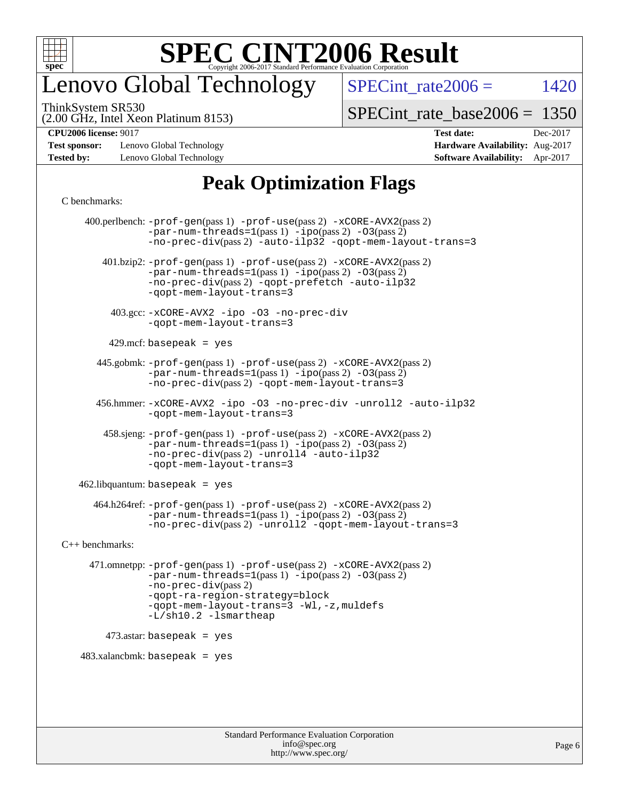

## enovo Global Technology

SPECint rate $2006 =$  1420

(2.00 GHz, Intel Xeon Platinum 8153) ThinkSystem SR530

[SPECint\\_rate\\_base2006 =](http://www.spec.org/auto/cpu2006/Docs/result-fields.html#SPECintratebase2006) 1350

**[CPU2006 license:](http://www.spec.org/auto/cpu2006/Docs/result-fields.html#CPU2006license)** 9017 **[Test date:](http://www.spec.org/auto/cpu2006/Docs/result-fields.html#Testdate)** Dec-2017

**[Test sponsor:](http://www.spec.org/auto/cpu2006/Docs/result-fields.html#Testsponsor)** Lenovo Global Technology **[Hardware Availability:](http://www.spec.org/auto/cpu2006/Docs/result-fields.html#HardwareAvailability)** Aug-2017 **[Tested by:](http://www.spec.org/auto/cpu2006/Docs/result-fields.html#Testedby)** Lenovo Global Technology **[Software Availability:](http://www.spec.org/auto/cpu2006/Docs/result-fields.html#SoftwareAvailability)** Apr-2017

### **[Peak Optimization Flags](http://www.spec.org/auto/cpu2006/Docs/result-fields.html#PeakOptimizationFlags)**

#### [C benchmarks](http://www.spec.org/auto/cpu2006/Docs/result-fields.html#Cbenchmarks):

 400.perlbench: [-prof-gen](http://www.spec.org/cpu2006/results/res2017q4/cpu2006-20171211-51018.flags.html#user_peakPASS1_CFLAGSPASS1_LDCFLAGS400_perlbench_prof_gen_e43856698f6ca7b7e442dfd80e94a8fc)(pass 1) [-prof-use](http://www.spec.org/cpu2006/results/res2017q4/cpu2006-20171211-51018.flags.html#user_peakPASS2_CFLAGSPASS2_LDCFLAGS400_perlbench_prof_use_bccf7792157ff70d64e32fe3e1250b55)(pass 2) [-xCORE-AVX2](http://www.spec.org/cpu2006/results/res2017q4/cpu2006-20171211-51018.flags.html#user_peakPASS2_CFLAGSPASS2_LDCFLAGS400_perlbench_f-xCORE-AVX2)(pass 2)  $-par-num-threads=1(pass 1) -ipo(pass 2) -O3(pass 2)$  $-par-num-threads=1(pass 1) -ipo(pass 2) -O3(pass 2)$  $-par-num-threads=1(pass 1) -ipo(pass 2) -O3(pass 2)$  $-par-num-threads=1(pass 1) -ipo(pass 2) -O3(pass 2)$  $-par-num-threads=1(pass 1) -ipo(pass 2) -O3(pass 2)$  $-par-num-threads=1(pass 1) -ipo(pass 2) -O3(pass 2)$ [-no-prec-div](http://www.spec.org/cpu2006/results/res2017q4/cpu2006-20171211-51018.flags.html#user_peakPASS2_CFLAGSPASS2_LDCFLAGS400_perlbench_f-no-prec-div)(pass 2) [-auto-ilp32](http://www.spec.org/cpu2006/results/res2017q4/cpu2006-20171211-51018.flags.html#user_peakCOPTIMIZE400_perlbench_f-auto-ilp32) [-qopt-mem-layout-trans=3](http://www.spec.org/cpu2006/results/res2017q4/cpu2006-20171211-51018.flags.html#user_peakCOPTIMIZE400_perlbench_f-qopt-mem-layout-trans_170f5be61cd2cedc9b54468c59262d5d) 401.bzip2: [-prof-gen](http://www.spec.org/cpu2006/results/res2017q4/cpu2006-20171211-51018.flags.html#user_peakPASS1_CFLAGSPASS1_LDCFLAGS401_bzip2_prof_gen_e43856698f6ca7b7e442dfd80e94a8fc)(pass 1) [-prof-use](http://www.spec.org/cpu2006/results/res2017q4/cpu2006-20171211-51018.flags.html#user_peakPASS2_CFLAGSPASS2_LDCFLAGS401_bzip2_prof_use_bccf7792157ff70d64e32fe3e1250b55)(pass 2) [-xCORE-AVX2](http://www.spec.org/cpu2006/results/res2017q4/cpu2006-20171211-51018.flags.html#user_peakPASS2_CFLAGSPASS2_LDCFLAGS401_bzip2_f-xCORE-AVX2)(pass 2) [-par-num-threads=1](http://www.spec.org/cpu2006/results/res2017q4/cpu2006-20171211-51018.flags.html#user_peakPASS1_CFLAGSPASS1_LDCFLAGS401_bzip2_par_num_threads_786a6ff141b4e9e90432e998842df6c2)(pass 1) [-ipo](http://www.spec.org/cpu2006/results/res2017q4/cpu2006-20171211-51018.flags.html#user_peakPASS2_CFLAGSPASS2_LDCFLAGS401_bzip2_f-ipo)(pass 2) [-O3](http://www.spec.org/cpu2006/results/res2017q4/cpu2006-20171211-51018.flags.html#user_peakPASS2_CFLAGSPASS2_LDCFLAGS401_bzip2_f-O3)(pass 2) [-no-prec-div](http://www.spec.org/cpu2006/results/res2017q4/cpu2006-20171211-51018.flags.html#user_peakPASS2_CFLAGSPASS2_LDCFLAGS401_bzip2_f-no-prec-div)(pass 2) [-qopt-prefetch](http://www.spec.org/cpu2006/results/res2017q4/cpu2006-20171211-51018.flags.html#user_peakCOPTIMIZE401_bzip2_f-qopt-prefetch) [-auto-ilp32](http://www.spec.org/cpu2006/results/res2017q4/cpu2006-20171211-51018.flags.html#user_peakCOPTIMIZE401_bzip2_f-auto-ilp32) [-qopt-mem-layout-trans=3](http://www.spec.org/cpu2006/results/res2017q4/cpu2006-20171211-51018.flags.html#user_peakCOPTIMIZE401_bzip2_f-qopt-mem-layout-trans_170f5be61cd2cedc9b54468c59262d5d) 403.gcc: [-xCORE-AVX2](http://www.spec.org/cpu2006/results/res2017q4/cpu2006-20171211-51018.flags.html#user_peakOPTIMIZE403_gcc_f-xCORE-AVX2) [-ipo](http://www.spec.org/cpu2006/results/res2017q4/cpu2006-20171211-51018.flags.html#user_peakOPTIMIZE403_gcc_f-ipo) [-O3](http://www.spec.org/cpu2006/results/res2017q4/cpu2006-20171211-51018.flags.html#user_peakOPTIMIZE403_gcc_f-O3) [-no-prec-div](http://www.spec.org/cpu2006/results/res2017q4/cpu2006-20171211-51018.flags.html#user_peakOPTIMIZE403_gcc_f-no-prec-div) [-qopt-mem-layout-trans=3](http://www.spec.org/cpu2006/results/res2017q4/cpu2006-20171211-51018.flags.html#user_peakCOPTIMIZE403_gcc_f-qopt-mem-layout-trans_170f5be61cd2cedc9b54468c59262d5d)  $429$ .mcf: basepeak = yes 445.gobmk: [-prof-gen](http://www.spec.org/cpu2006/results/res2017q4/cpu2006-20171211-51018.flags.html#user_peakPASS1_CFLAGSPASS1_LDCFLAGS445_gobmk_prof_gen_e43856698f6ca7b7e442dfd80e94a8fc)(pass 1) [-prof-use](http://www.spec.org/cpu2006/results/res2017q4/cpu2006-20171211-51018.flags.html#user_peakPASS2_CFLAGSPASS2_LDCFLAGSPASS2_LDFLAGS445_gobmk_prof_use_bccf7792157ff70d64e32fe3e1250b55)(pass 2) [-xCORE-AVX2](http://www.spec.org/cpu2006/results/res2017q4/cpu2006-20171211-51018.flags.html#user_peakPASS2_CFLAGSPASS2_LDCFLAGSPASS2_LDFLAGS445_gobmk_f-xCORE-AVX2)(pass 2)  $-par-num-threads=1(pass 1) -ipo(pass 2) -O3(pass 2)$  $-par-num-threads=1(pass 1) -ipo(pass 2) -O3(pass 2)$  $-par-num-threads=1(pass 1) -ipo(pass 2) -O3(pass 2)$  $-par-num-threads=1(pass 1) -ipo(pass 2) -O3(pass 2)$  $-par-num-threads=1(pass 1) -ipo(pass 2) -O3(pass 2)$  $-par-num-threads=1(pass 1) -ipo(pass 2) -O3(pass 2)$ [-no-prec-div](http://www.spec.org/cpu2006/results/res2017q4/cpu2006-20171211-51018.flags.html#user_peakPASS2_LDCFLAGS445_gobmk_f-no-prec-div)(pass 2) [-qopt-mem-layout-trans=3](http://www.spec.org/cpu2006/results/res2017q4/cpu2006-20171211-51018.flags.html#user_peakCOPTIMIZE445_gobmk_f-qopt-mem-layout-trans_170f5be61cd2cedc9b54468c59262d5d) 456.hmmer: [-xCORE-AVX2](http://www.spec.org/cpu2006/results/res2017q4/cpu2006-20171211-51018.flags.html#user_peakOPTIMIZE456_hmmer_f-xCORE-AVX2) [-ipo](http://www.spec.org/cpu2006/results/res2017q4/cpu2006-20171211-51018.flags.html#user_peakOPTIMIZE456_hmmer_f-ipo) [-O3](http://www.spec.org/cpu2006/results/res2017q4/cpu2006-20171211-51018.flags.html#user_peakOPTIMIZE456_hmmer_f-O3) [-no-prec-div](http://www.spec.org/cpu2006/results/res2017q4/cpu2006-20171211-51018.flags.html#user_peakOPTIMIZE456_hmmer_f-no-prec-div) [-unroll2](http://www.spec.org/cpu2006/results/res2017q4/cpu2006-20171211-51018.flags.html#user_peakCOPTIMIZE456_hmmer_f-unroll_784dae83bebfb236979b41d2422d7ec2) [-auto-ilp32](http://www.spec.org/cpu2006/results/res2017q4/cpu2006-20171211-51018.flags.html#user_peakCOPTIMIZE456_hmmer_f-auto-ilp32) [-qopt-mem-layout-trans=3](http://www.spec.org/cpu2006/results/res2017q4/cpu2006-20171211-51018.flags.html#user_peakCOPTIMIZE456_hmmer_f-qopt-mem-layout-trans_170f5be61cd2cedc9b54468c59262d5d) 458.sjeng: [-prof-gen](http://www.spec.org/cpu2006/results/res2017q4/cpu2006-20171211-51018.flags.html#user_peakPASS1_CFLAGSPASS1_LDCFLAGS458_sjeng_prof_gen_e43856698f6ca7b7e442dfd80e94a8fc)(pass 1) [-prof-use](http://www.spec.org/cpu2006/results/res2017q4/cpu2006-20171211-51018.flags.html#user_peakPASS2_CFLAGSPASS2_LDCFLAGS458_sjeng_prof_use_bccf7792157ff70d64e32fe3e1250b55)(pass 2) [-xCORE-AVX2](http://www.spec.org/cpu2006/results/res2017q4/cpu2006-20171211-51018.flags.html#user_peakPASS2_CFLAGSPASS2_LDCFLAGS458_sjeng_f-xCORE-AVX2)(pass 2)  $-par-num-threads=1(pass 1) -ipo(pass 2) -O3(pass 2)$  $-par-num-threads=1(pass 1) -ipo(pass 2) -O3(pass 2)$  $-par-num-threads=1(pass 1) -ipo(pass 2) -O3(pass 2)$  $-par-num-threads=1(pass 1) -ipo(pass 2) -O3(pass 2)$  $-par-num-threads=1(pass 1) -ipo(pass 2) -O3(pass 2)$  $-par-num-threads=1(pass 1) -ipo(pass 2) -O3(pass 2)$ [-no-prec-div](http://www.spec.org/cpu2006/results/res2017q4/cpu2006-20171211-51018.flags.html#user_peakPASS2_CFLAGSPASS2_LDCFLAGS458_sjeng_f-no-prec-div)(pass 2) [-unroll4](http://www.spec.org/cpu2006/results/res2017q4/cpu2006-20171211-51018.flags.html#user_peakCOPTIMIZE458_sjeng_f-unroll_4e5e4ed65b7fd20bdcd365bec371b81f) [-auto-ilp32](http://www.spec.org/cpu2006/results/res2017q4/cpu2006-20171211-51018.flags.html#user_peakCOPTIMIZE458_sjeng_f-auto-ilp32) [-qopt-mem-layout-trans=3](http://www.spec.org/cpu2006/results/res2017q4/cpu2006-20171211-51018.flags.html#user_peakCOPTIMIZE458_sjeng_f-qopt-mem-layout-trans_170f5be61cd2cedc9b54468c59262d5d)  $462$ .libquantum: basepeak = yes 464.h264ref: [-prof-gen](http://www.spec.org/cpu2006/results/res2017q4/cpu2006-20171211-51018.flags.html#user_peakPASS1_CFLAGSPASS1_LDCFLAGS464_h264ref_prof_gen_e43856698f6ca7b7e442dfd80e94a8fc)(pass 1) [-prof-use](http://www.spec.org/cpu2006/results/res2017q4/cpu2006-20171211-51018.flags.html#user_peakPASS2_CFLAGSPASS2_LDCFLAGS464_h264ref_prof_use_bccf7792157ff70d64e32fe3e1250b55)(pass 2) [-xCORE-AVX2](http://www.spec.org/cpu2006/results/res2017q4/cpu2006-20171211-51018.flags.html#user_peakPASS2_CFLAGSPASS2_LDCFLAGS464_h264ref_f-xCORE-AVX2)(pass 2)  $-par-num-threads=1(pass 1) -ipo(pass 2) -O3(pass 2)$  $-par-num-threads=1(pass 1) -ipo(pass 2) -O3(pass 2)$  $-par-num-threads=1(pass 1) -ipo(pass 2) -O3(pass 2)$  $-par-num-threads=1(pass 1) -ipo(pass 2) -O3(pass 2)$  $-par-num-threads=1(pass 1) -ipo(pass 2) -O3(pass 2)$  $-par-num-threads=1(pass 1) -ipo(pass 2) -O3(pass 2)$ [-no-prec-div](http://www.spec.org/cpu2006/results/res2017q4/cpu2006-20171211-51018.flags.html#user_peakPASS2_CFLAGSPASS2_LDCFLAGS464_h264ref_f-no-prec-div)(pass 2) [-unroll2](http://www.spec.org/cpu2006/results/res2017q4/cpu2006-20171211-51018.flags.html#user_peakCOPTIMIZE464_h264ref_f-unroll_784dae83bebfb236979b41d2422d7ec2) [-qopt-mem-layout-trans=3](http://www.spec.org/cpu2006/results/res2017q4/cpu2006-20171211-51018.flags.html#user_peakCOPTIMIZE464_h264ref_f-qopt-mem-layout-trans_170f5be61cd2cedc9b54468c59262d5d) [C++ benchmarks:](http://www.spec.org/auto/cpu2006/Docs/result-fields.html#CXXbenchmarks) 471.omnetpp: [-prof-gen](http://www.spec.org/cpu2006/results/res2017q4/cpu2006-20171211-51018.flags.html#user_peakPASS1_CXXFLAGSPASS1_LDCXXFLAGS471_omnetpp_prof_gen_e43856698f6ca7b7e442dfd80e94a8fc)(pass 1) [-prof-use](http://www.spec.org/cpu2006/results/res2017q4/cpu2006-20171211-51018.flags.html#user_peakPASS2_CXXFLAGSPASS2_LDCXXFLAGS471_omnetpp_prof_use_bccf7792157ff70d64e32fe3e1250b55)(pass 2) [-xCORE-AVX2](http://www.spec.org/cpu2006/results/res2017q4/cpu2006-20171211-51018.flags.html#user_peakPASS2_CXXFLAGSPASS2_LDCXXFLAGS471_omnetpp_f-xCORE-AVX2)(pass 2)  $-par-num-threads=1(pass 1) -ipo(pass 2) -O3(pass 2)$  $-par-num-threads=1(pass 1) -ipo(pass 2) -O3(pass 2)$  $-par-num-threads=1(pass 1) -ipo(pass 2) -O3(pass 2)$  $-par-num-threads=1(pass 1) -ipo(pass 2) -O3(pass 2)$  $-par-num-threads=1(pass 1) -ipo(pass 2) -O3(pass 2)$  $-par-num-threads=1(pass 1) -ipo(pass 2) -O3(pass 2)$ [-no-prec-div](http://www.spec.org/cpu2006/results/res2017q4/cpu2006-20171211-51018.flags.html#user_peakPASS2_CXXFLAGSPASS2_LDCXXFLAGS471_omnetpp_f-no-prec-div)(pass 2) [-qopt-ra-region-strategy=block](http://www.spec.org/cpu2006/results/res2017q4/cpu2006-20171211-51018.flags.html#user_peakCXXOPTIMIZE471_omnetpp_f-qopt-ra-region-strategy_430aa8f7c220cbde92ae827fa8d9be32)  [-qopt-mem-layout-trans=3](http://www.spec.org/cpu2006/results/res2017q4/cpu2006-20171211-51018.flags.html#user_peakCXXOPTIMIZE471_omnetpp_f-qopt-mem-layout-trans_170f5be61cd2cedc9b54468c59262d5d) [-Wl,-z,muldefs](http://www.spec.org/cpu2006/results/res2017q4/cpu2006-20171211-51018.flags.html#user_peakEXTRA_LDFLAGS471_omnetpp_link_force_multiple1_74079c344b956b9658436fd1b6dd3a8a) [-L/sh10.2 -lsmartheap](http://www.spec.org/cpu2006/results/res2017q4/cpu2006-20171211-51018.flags.html#user_peakEXTRA_LIBS471_omnetpp_SmartHeap_b831f2d313e2fffa6dfe3f00ffc1f1c0) 473.astar: basepeak = yes  $483.xalanchmk: basepeak = yes$